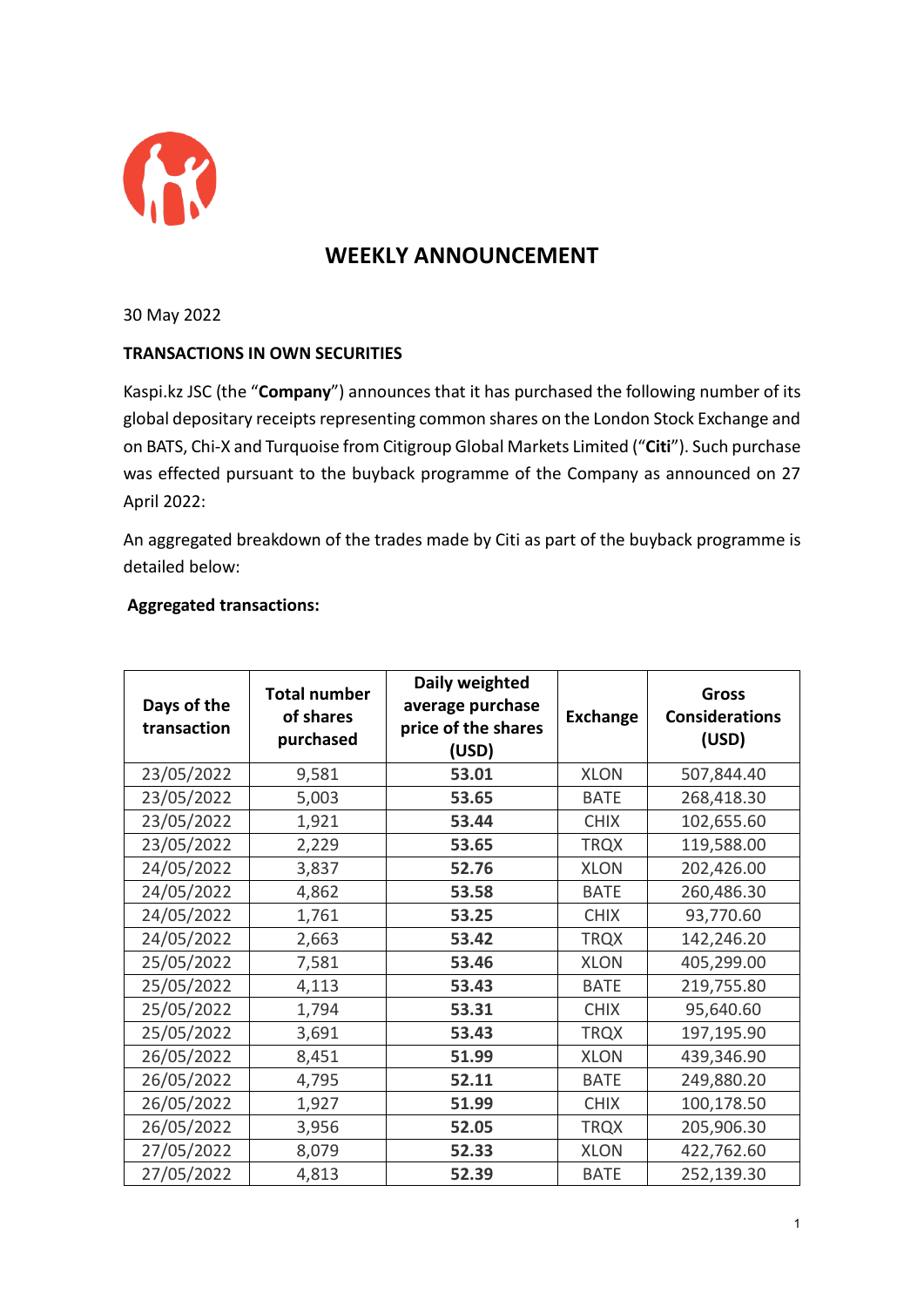

## **WEEKLY ANNOUNCEMENT**

30 May 2022

## **TRANSACTIONS IN OWN SECURITIES**

Kaspi.kz JSC (the "**Company**") announces that it has purchased the following number of its global depositary receipts representing common shares on the London Stock Exchange and on BATS, Chi-X and Turquoise from Citigroup Global Markets Limited ("**Citi**"). Such purchase was effected pursuant to the buyback programme of the Company as announced on 27 April 2022:

An aggregated breakdown of the trades made by Citi as part of the buyback programme is detailed below:

## **Aggregated transactions:**

| Days of the<br>transaction | <b>Total number</b><br>of shares<br>purchased | Daily weighted<br>average purchase<br>price of the shares<br>(USD) | <b>Exchange</b> | <b>Gross</b><br><b>Considerations</b><br>(USD) |
|----------------------------|-----------------------------------------------|--------------------------------------------------------------------|-----------------|------------------------------------------------|
| 23/05/2022                 | 9,581                                         | 53.01                                                              | <b>XLON</b>     | 507,844.40                                     |
| 23/05/2022                 | 5,003                                         | 53.65                                                              | <b>BATE</b>     | 268,418.30                                     |
| 23/05/2022                 | 1,921                                         | 53.44                                                              | <b>CHIX</b>     | 102,655.60                                     |
| 23/05/2022                 | 2,229                                         | 53.65                                                              | <b>TRQX</b>     | 119,588.00                                     |
| 24/05/2022                 | 3,837                                         | 52.76                                                              | <b>XLON</b>     | 202,426.00                                     |
| 24/05/2022                 | 4,862                                         | 53.58                                                              | <b>BATE</b>     | 260,486.30                                     |
| 24/05/2022                 | 1,761                                         | 53.25                                                              | <b>CHIX</b>     | 93,770.60                                      |
| 24/05/2022                 | 2,663                                         | 53.42                                                              | <b>TRQX</b>     | 142,246.20                                     |
| 25/05/2022                 | 7,581                                         | 53.46                                                              | <b>XLON</b>     | 405,299.00                                     |
| 25/05/2022                 | 4,113                                         | 53.43                                                              | <b>BATE</b>     | 219,755.80                                     |
| 25/05/2022                 | 1,794                                         | 53.31                                                              | <b>CHIX</b>     | 95,640.60                                      |
| 25/05/2022                 | 3,691                                         | 53.43                                                              | <b>TRQX</b>     | 197,195.90                                     |
| 26/05/2022                 | 8,451                                         | 51.99                                                              | <b>XLON</b>     | 439,346.90                                     |
| 26/05/2022                 | 4,795                                         | 52.11                                                              | <b>BATE</b>     | 249,880.20                                     |
| 26/05/2022                 | 1,927                                         | 51.99                                                              | <b>CHIX</b>     | 100,178.50                                     |
| 26/05/2022                 | 3,956                                         | 52.05                                                              | <b>TRQX</b>     | 205,906.30                                     |
| 27/05/2022                 | 8,079                                         | 52.33                                                              | <b>XLON</b>     | 422,762.60                                     |
| 27/05/2022                 | 4,813                                         | 52.39                                                              | <b>BATE</b>     | 252,139.30                                     |